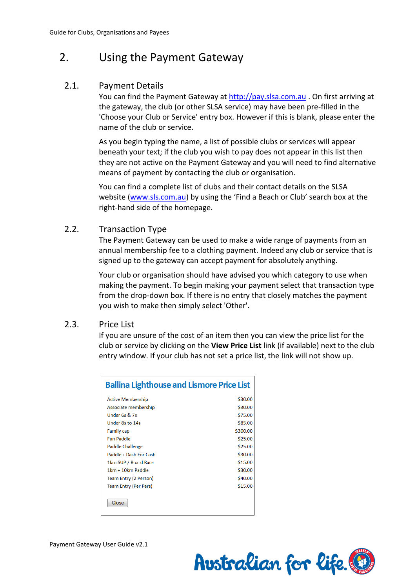# 2. Using the Payment Gateway

## 2.1. Payment Details

You can find the Payment Gateway at http://pay.slsa.com.au . On first arriving at the gateway, the club (or other SLSA service) may have been pre-filled in the 'Choose your Club or Service' entry box. However if this is blank, please enter the name of the club or service.

As you begin typing the name, a list of possible clubs or services will appear beneath your text; if the club you wish to pay does not appear in this list then they are not active on the Payment Gateway and you will need to find alternative means of payment by contacting the club or organisation.

You can find a complete list of clubs and their contact details on the SLSA website (www.sls.com.au) by using the 'Find a Beach or Club' search box at the right-hand side of the homepage.

## 2.2. Transaction Type

The Payment Gateway can be used to make a wide range of payments from an annual membership fee to a clothing payment. Indeed any club or service that is signed up to the gateway can accept payment for absolutely anything.

Your club or organisation should have advised you which category to use when making the payment. To begin making your payment select that transaction type from the drop-down box. If there is no entry that closely matches the payment you wish to make then simply select 'Other'.

## 2.3. Price List

If you are unsure of the cost of an item then you can view the price list for the club or service by clicking on the **View Price List** link (if available) next to the club entry window. If your club has not set a price list, the link will not show up.

| <b>Ballina Lighthouse and Lismore Price List</b> |          |  |  |  |  |
|--------------------------------------------------|----------|--|--|--|--|
| <b>Active Membership</b>                         | \$30.00  |  |  |  |  |
| Associate membership                             | \$30.00  |  |  |  |  |
| Under 6s & 7s                                    | \$75.00  |  |  |  |  |
| Under 8s to 14s                                  | \$85.00  |  |  |  |  |
| <b>Family cap</b>                                | \$300.00 |  |  |  |  |
| <b>Fun Paddle</b>                                | \$25.00  |  |  |  |  |
| <b>Paddle Challenge</b>                          | \$25.00  |  |  |  |  |
| Paddle + Dash For Cash                           | \$30.00  |  |  |  |  |
| 1km SUP / Board Race                             | \$15.00  |  |  |  |  |
| 1km + 10km Paddle                                | \$30.00  |  |  |  |  |
| Team Entry (2 Person)                            | \$40.00  |  |  |  |  |
| <b>Team Entry (Per Pers)</b>                     | \$15.00  |  |  |  |  |
| Close                                            |          |  |  |  |  |

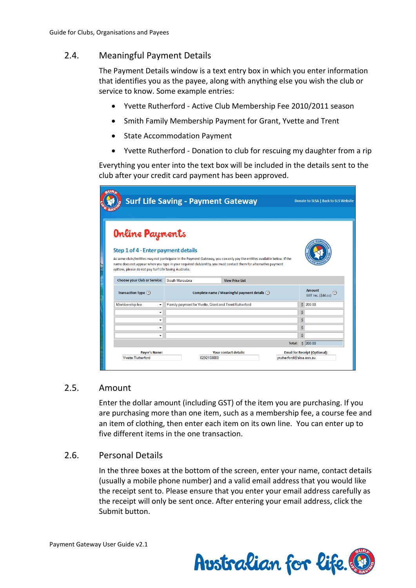# 2.4. Meaningful Payment Details

The Payment Details window is a text entry box in which you enter information that identifies you as the payee, along with anything else you wish the club or service to know. Some example entries:

- Yvette Rutherford Active Club Membership Fee 2010/2011 season
- Smith Family Membership Payment for Grant, Yvette and Trent
- State Accommodation Payment
- Yvette Rutherford Donation to club for rescuing my daughter from a rip

Everything you enter into the text box will be included in the details sent to the club after your credit card payment has been approved.

|                                                                                                                                                                                                                                                                                                                                             | <b>Surf Life Saving - Payment Gateway</b>      |                                                       |               | Donate to SLSA   Back to SLS Website |
|---------------------------------------------------------------------------------------------------------------------------------------------------------------------------------------------------------------------------------------------------------------------------------------------------------------------------------------------|------------------------------------------------|-------------------------------------------------------|---------------|--------------------------------------|
|                                                                                                                                                                                                                                                                                                                                             |                                                |                                                       |               |                                      |
| <b>Online Payments</b>                                                                                                                                                                                                                                                                                                                      |                                                |                                                       |               |                                      |
| Step 1 of 4 - Enter payment details<br>As some clubs/entities may not participate in the Payment Gateway, you can only pay the entities available below. If the<br>name does not appear when you type in your required club/entity, you must contact them for alternative payment<br>options, please do not pay Surf Life Saving Australia. |                                                |                                                       |               |                                      |
| <b>Choose your Club or Service:</b>                                                                                                                                                                                                                                                                                                         | South Maroubra                                 | <b>View Price List</b>                                |               |                                      |
| Transaction Type (?)                                                                                                                                                                                                                                                                                                                        | Complete name / Meaningful payment details (?) |                                                       |               | Amount<br>(?)<br>GST Inc. (\$dd.cc)  |
| Membership fee<br>٠                                                                                                                                                                                                                                                                                                                         |                                                | Family payment for Yvette, Grant and Trent Rutherford |               | \$200.00                             |
| ٠                                                                                                                                                                                                                                                                                                                                           |                                                |                                                       |               | Ś.                                   |
| ٠                                                                                                                                                                                                                                                                                                                                           |                                                |                                                       |               | \$                                   |
| ÷                                                                                                                                                                                                                                                                                                                                           |                                                |                                                       |               | Ś                                    |
| ۰                                                                                                                                                                                                                                                                                                                                           |                                                |                                                       |               | Ś                                    |
|                                                                                                                                                                                                                                                                                                                                             |                                                |                                                       | <b>Total:</b> | \$200.00                             |
|                                                                                                                                                                                                                                                                                                                                             |                                                | Your contact details:                                 |               | <b>Email for Receipt (Optional):</b> |
| Payer's Name:                                                                                                                                                                                                                                                                                                                               |                                                |                                                       |               |                                      |

#### 2.5. Amount

Enter the dollar amount (including GST) of the item you are purchasing. If you are purchasing more than one item, such as a membership fee, a course fee and an item of clothing, then enter each item on its own line. You can enter up to five different items in the one transaction.

## 2.6. Personal Details

In the three boxes at the bottom of the screen, enter your name, contact details (usually a mobile phone number) and a valid email address that you would like the receipt sent to. Please ensure that you enter your email address carefully as the receipt will only be sent once. After entering your email address, click the Submit button.